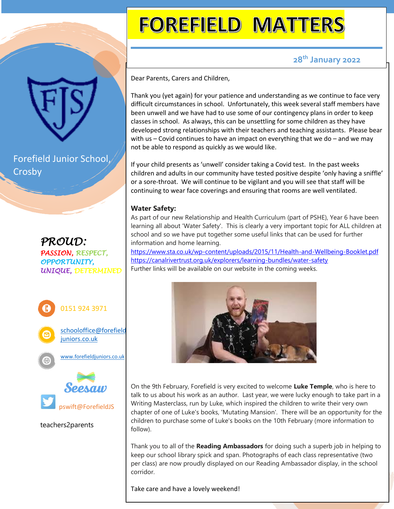Forefield Junior School, Crosby

*PROUD: PASSION, RESPECT, OPPORTUNITY, UNIQUE, DETERMINED*



teachers2parents

# **FOREFIELD MATTERS**

## **28th January 2022**

Dear Parents, Carers and Children,

Thank you (yet again) for your patience and understanding as we continue to face very difficult circumstances in school. Unfortunately, this week several staff members have been unwell and we have had to use some of our contingency plans in order to keep classes in school. As always, this can be unsettling for some children as they have developed strong relationships with their teachers and teaching assistants. Please bear with us – Covid continues to have an impact on everything that we do – and we may not be able to respond as quickly as we would like.

If your child presents as 'unwell' consider taking a Covid test. In the past weeks children and adults in our community have tested positive despite 'only having a sniffle' or a sore-throat. We will continue to be vigilant and you will see that staff will be continuing to wear face coverings and ensuring that rooms are well ventilated.

### **Water Safety:**

As part of our new Relationship and Health Curriculum (part of PSHE), Year 6 have been learning all about 'Water Safety'. This is clearly a very important topic for ALL children at school and so we have put together some useful links that can be used for further information and home learning.

<https://www.sta.co.uk/wp-content/uploads/2015/11/Health-and-Wellbeing-Booklet.pdf> <https://canalrivertrust.org.uk/explorers/learning-bundles/water-safety> Further links will be available on our website in the coming weeks.



On the 9th February, Forefield is very excited to welcome **Luke Temple**, who is here to talk to us about his work as an author. Last year, we were lucky enough to take part in a Writing Masterclass, run by Luke, which inspired the children to write their very own chapter of one of Luke's books, 'Mutating Mansion'. There will be an opportunity for the children to purchase some of Luke's books on the 10th February (more information to follow).

Thank you to all of the **Reading Ambassadors** for doing such a superb job in helping to keep our school library spick and span. Photographs of each class representative (two per class) are now proudly displayed on our Reading Ambassador display, in the school corridor.

Take care and have a lovely weekend!